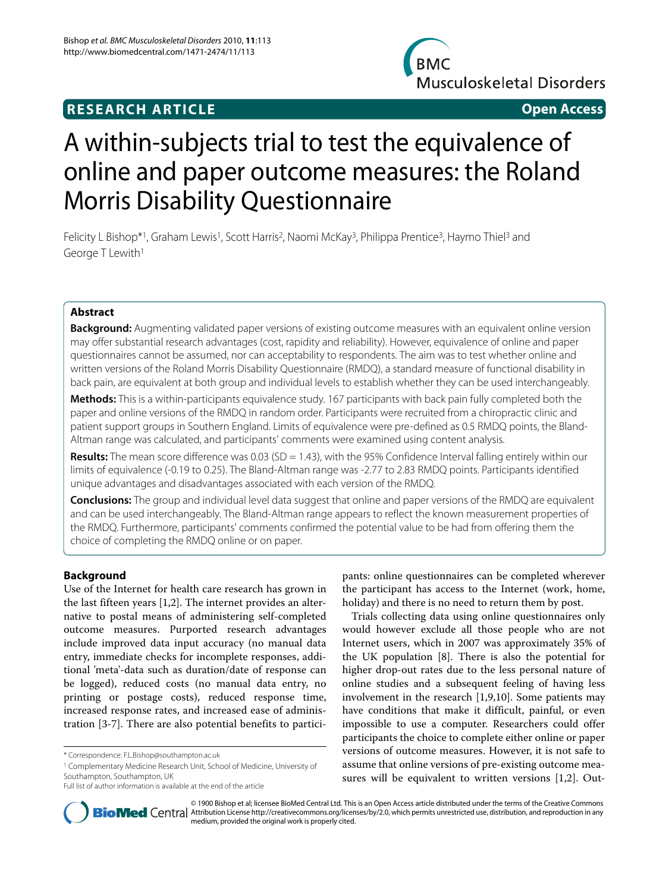# **RESEARCH ARTICLE Open Access**



# A within-subjects trial to test the equivalence of online and paper outcome measures: the Roland Morris Disability Questionnaire

Felicity L Bishop\*1, Graham Lewis1, Scott Harris<sup>2</sup>, Naomi McKay<sup>3</sup>, Philippa Prentice<sup>3</sup>, Haymo Thiel<sup>3</sup> and George T Lewith1

# **Abstract**

**Background:** Augmenting validated paper versions of existing outcome measures with an equivalent online version may offer substantial research advantages (cost, rapidity and reliability). However, equivalence of online and paper questionnaires cannot be assumed, nor can acceptability to respondents. The aim was to test whether online and written versions of the Roland Morris Disability Questionnaire (RMDQ), a standard measure of functional disability in back pain, are equivalent at both group and individual levels to establish whether they can be used interchangeably.

**Methods:** This is a within-participants equivalence study. 167 participants with back pain fully completed both the paper and online versions of the RMDQ in random order. Participants were recruited from a chiropractic clinic and patient support groups in Southern England. Limits of equivalence were pre-defined as 0.5 RMDQ points, the Bland-Altman range was calculated, and participants' comments were examined using content analysis.

**Results:** The mean score difference was 0.03 (SD = 1.43), with the 95% Confidence Interval falling entirely within our limits of equivalence (-0.19 to 0.25). The Bland-Altman range was -2.77 to 2.83 RMDQ points. Participants identified unique advantages and disadvantages associated with each version of the RMDQ.

**Conclusions:** The group and individual level data suggest that online and paper versions of the RMDQ are equivalent and can be used interchangeably. The Bland-Altman range appears to reflect the known measurement properties of the RMDQ. Furthermore, participants' comments confirmed the potential value to be had from offering them the choice of completing the RMDQ online or on paper.

# **Background**

Use of the Internet for health care research has grown in the last fifteen years [[1,](#page-5-0)[2\]](#page-5-1). The internet provides an alternative to postal means of administering self-completed outcome measures. Purported research advantages include improved data input accuracy (no manual data entry, immediate checks for incomplete responses, additional 'meta'-data such as duration/date of response can be logged), reduced costs (no manual data entry, no printing or postage costs), reduced response time, increased response rates, and increased ease of administration [[3-](#page-5-2)[7](#page-6-0)]. There are also potential benefits to partici-

1 Complementary Medicine Research Unit, School of Medicine, University of Southampton, Southampton, UK

pants: online questionnaires can be completed wherever the participant has access to the Internet (work, home, holiday) and there is no need to return them by post.

Trials collecting data using online questionnaires only would however exclude all those people who are not Internet users, which in 2007 was approximately 35% of the UK population [[8\]](#page-6-1). There is also the potential for higher drop-out rates due to the less personal nature of online studies and a subsequent feeling of having less involvement in the research [[1,](#page-5-0)[9](#page-6-2)[,10](#page-6-3)]. Some patients may have conditions that make it difficult, painful, or even impossible to use a computer. Researchers could offer participants the choice to complete either online or paper versions of outcome measures. However, it is not safe to assume that online versions of pre-existing outcome measures will be equivalent to written versions [\[1](#page-5-0)[,2](#page-5-1)]. Out-



© 1900 Bishop et al; licensee BioMed Central Ltd. This is an Open Access article distributed under the terms of the Creative Commons **Bio Med** Central Attribution License http://creativecommons.org/licenses/by/2.0, which permits unrestricted use, distribution, and reproduction in any medium, provided the original work is properly cited.

<sup>\*</sup> Correspondence: F.L.Bishop@southampton.ac.uk

Full list of author information is available at the end of the article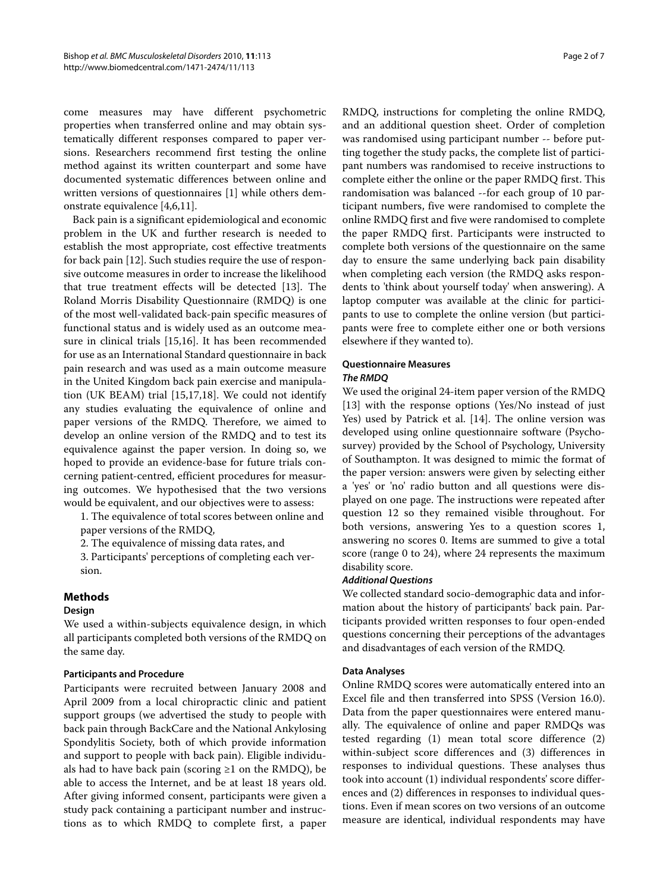come measures may have different psychometric properties when transferred online and may obtain systematically different responses compared to paper versions. Researchers recommend first testing the online method against its written counterpart and some have documented systematic differences between online and written versions of questionnaires [[1\]](#page-5-0) while others demonstrate equivalence [[4,](#page-5-3)[6](#page-5-4)[,11](#page-6-4)].

Back pain is a significant epidemiological and economic problem in the UK and further research is needed to establish the most appropriate, cost effective treatments for back pain [\[12\]](#page-6-5). Such studies require the use of responsive outcome measures in order to increase the likelihood that true treatment effects will be detected [\[13\]](#page-6-6). The Roland Morris Disability Questionnaire (RMDQ) is one of the most well-validated back-pain specific measures of functional status and is widely used as an outcome measure in clinical trials [[15](#page-6-7),[16](#page-6-8)]. It has been recommended for use as an International Standard questionnaire in back pain research and was used as a main outcome measure in the United Kingdom back pain exercise and manipulation (UK BEAM) trial [\[15](#page-6-7),[17](#page-6-9),[18](#page-6-10)]. We could not identify any studies evaluating the equivalence of online and paper versions of the RMDQ. Therefore, we aimed to develop an online version of the RMDQ and to test its equivalence against the paper version. In doing so, we hoped to provide an evidence-base for future trials concerning patient-centred, efficient procedures for measuring outcomes. We hypothesised that the two versions would be equivalent, and our objectives were to assess:

1. The equivalence of total scores between online and paper versions of the RMDQ,

2. The equivalence of missing data rates, and

3. Participants' perceptions of completing each version.

## **Methods**

#### **Design**

We used a within-subjects equivalence design, in which all participants completed both versions of the RMDQ on the same day.

#### **Participants and Procedure**

Participants were recruited between January 2008 and April 2009 from a local chiropractic clinic and patient support groups (we advertised the study to people with back pain through BackCare and the National Ankylosing Spondylitis Society, both of which provide information and support to people with back pain). Eligible individuals had to have back pain (scoring  $\geq 1$  on the RMDQ), be able to access the Internet, and be at least 18 years old. After giving informed consent, participants were given a study pack containing a participant number and instructions as to which RMDQ to complete first, a paper

RMDQ, instructions for completing the online RMDQ, and an additional question sheet. Order of completion was randomised using participant number -- before putting together the study packs, the complete list of participant numbers was randomised to receive instructions to complete either the online or the paper RMDQ first. This randomisation was balanced --for each group of 10 participant numbers, five were randomised to complete the online RMDQ first and five were randomised to complete the paper RMDQ first. Participants were instructed to complete both versions of the questionnaire on the same day to ensure the same underlying back pain disability when completing each version (the RMDQ asks respondents to 'think about yourself today' when answering). A laptop computer was available at the clinic for participants to use to complete the online version (but participants were free to complete either one or both versions elsewhere if they wanted to).

#### **Questionnaire Measures**

## **The RMDQ**

We used the original 24-item paper version of the RMDQ [[13\]](#page-6-6) with the response options (Yes/No instead of just Yes) used by Patrick et al. [\[14](#page-6-11)]. The online version was developed using online questionnaire software (Psychosurvey) provided by the School of Psychology, University of Southampton. It was designed to mimic the format of the paper version: answers were given by selecting either a 'yes' or 'no' radio button and all questions were displayed on one page. The instructions were repeated after question 12 so they remained visible throughout. For both versions, answering Yes to a question scores 1, answering no scores 0. Items are summed to give a total score (range 0 to 24), where 24 represents the maximum disability score.

#### **Additional Questions**

We collected standard socio-demographic data and information about the history of participants' back pain. Participants provided written responses to four open-ended questions concerning their perceptions of the advantages and disadvantages of each version of the RMDQ.

#### **Data Analyses**

Online RMDQ scores were automatically entered into an Excel file and then transferred into SPSS (Version 16.0). Data from the paper questionnaires were entered manually. The equivalence of online and paper RMDQs was tested regarding (1) mean total score difference (2) within-subject score differences and (3) differences in responses to individual questions. These analyses thus took into account (1) individual respondents' score differences and (2) differences in responses to individual questions. Even if mean scores on two versions of an outcome measure are identical, individual respondents may have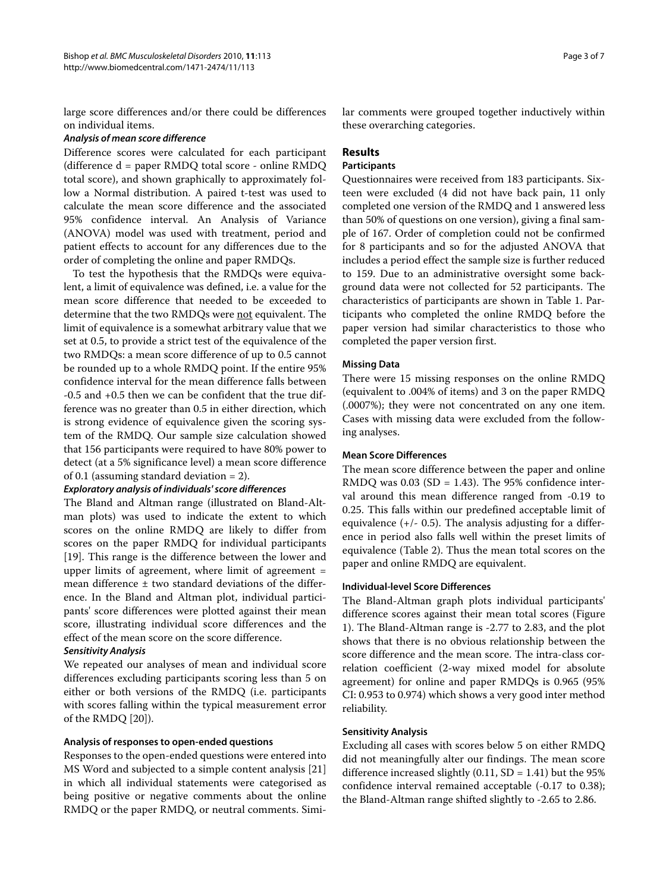large score differences and/or there could be differences on individual items.

#### **Analysis of mean score difference**

Difference scores were calculated for each participant (difference d = paper RMDQ total score - online RMDQ total score), and shown graphically to approximately follow a Normal distribution. A paired t-test was used to calculate the mean score difference and the associated 95% confidence interval. An Analysis of Variance (ANOVA) model was used with treatment, period and patient effects to account for any differences due to the order of completing the online and paper RMDQs.

To test the hypothesis that the RMDQs were equivalent, a limit of equivalence was defined, i.e. a value for the mean score difference that needed to be exceeded to determine that the two RMDQs were not equivalent. The limit of equivalence is a somewhat arbitrary value that we set at 0.5, to provide a strict test of the equivalence of the two RMDQs: a mean score difference of up to 0.5 cannot be rounded up to a whole RMDQ point. If the entire 95% confidence interval for the mean difference falls between -0.5 and +0.5 then we can be confident that the true difference was no greater than 0.5 in either direction, which is strong evidence of equivalence given the scoring system of the RMDQ. Our sample size calculation showed that 156 participants were required to have 80% power to detect (at a 5% significance level) a mean score difference of 0.1 (assuming standard deviation = 2).

#### **Exploratory analysis of individuals' score differences**

The Bland and Altman range (illustrated on Bland-Altman plots) was used to indicate the extent to which scores on the online RMDQ are likely to differ from scores on the paper RMDQ for individual participants [[19\]](#page-6-12). This range is the difference between the lower and upper limits of agreement, where limit of agreement = mean difference ± two standard deviations of the difference. In the Bland and Altman plot, individual participants' score differences were plotted against their mean score, illustrating individual score differences and the effect of the mean score on the score difference.

# **Sensitivity Analysis**

We repeated our analyses of mean and individual score differences excluding participants scoring less than 5 on either or both versions of the RMDQ (i.e. participants with scores falling within the typical measurement error of the RMDQ [\[20](#page-6-13)]).

#### **Analysis of responses to open-ended questions**

Responses to the open-ended questions were entered into MS Word and subjected to a simple content analysis [[21](#page-6-14)] in which all individual statements were categorised as being positive or negative comments about the online RMDQ or the paper RMDQ, or neutral comments. Similar comments were grouped together inductively within these overarching categories.

# **Results**

# **Participants**

Questionnaires were received from 183 participants. Sixteen were excluded (4 did not have back pain, 11 only completed one version of the RMDQ and 1 answered less than 50% of questions on one version), giving a final sample of 167. Order of completion could not be confirmed for 8 participants and so for the adjusted ANOVA that includes a period effect the sample size is further reduced to 159. Due to an administrative oversight some background data were not collected for 52 participants. The characteristics of participants are shown in Table [1](#page-3-0). Participants who completed the online RMDQ before the paper version had similar characteristics to those who completed the paper version first.

#### **Missing Data**

There were 15 missing responses on the online RMDQ (equivalent to .004% of items) and 3 on the paper RMDQ (.0007%); they were not concentrated on any one item. Cases with missing data were excluded from the following analyses.

#### **Mean Score Differences**

The mean score difference between the paper and online RMDQ was  $0.03$  (SD = 1.43). The 95% confidence interval around this mean difference ranged from -0.19 to 0.25. This falls within our predefined acceptable limit of equivalence  $(+/- 0.5)$ . The analysis adjusting for a difference in period also falls well within the preset limits of equivalence (Table 2). Thus the mean total scores on the paper and online RMDQ are equivalent.

#### **Individual-level Score Differences**

The Bland-Altman graph plots individual participants' difference scores against their mean total scores (Figure [1\)](#page-4-0). The Bland-Altman range is -2.77 to 2.83, and the plot shows that there is no obvious relationship between the score difference and the mean score. The intra-class correlation coefficient (2-way mixed model for absolute agreement) for online and paper RMDQs is 0.965 (95% CI: 0.953 to 0.974) which shows a very good inter method reliability.

## **Sensitivity Analysis**

Excluding all cases with scores below 5 on either RMDQ did not meaningfully alter our findings. The mean score difference increased slightly  $(0.11, SD = 1.41)$  but the 95% confidence interval remained acceptable (-0.17 to 0.38); the Bland-Altman range shifted slightly to -2.65 to 2.86.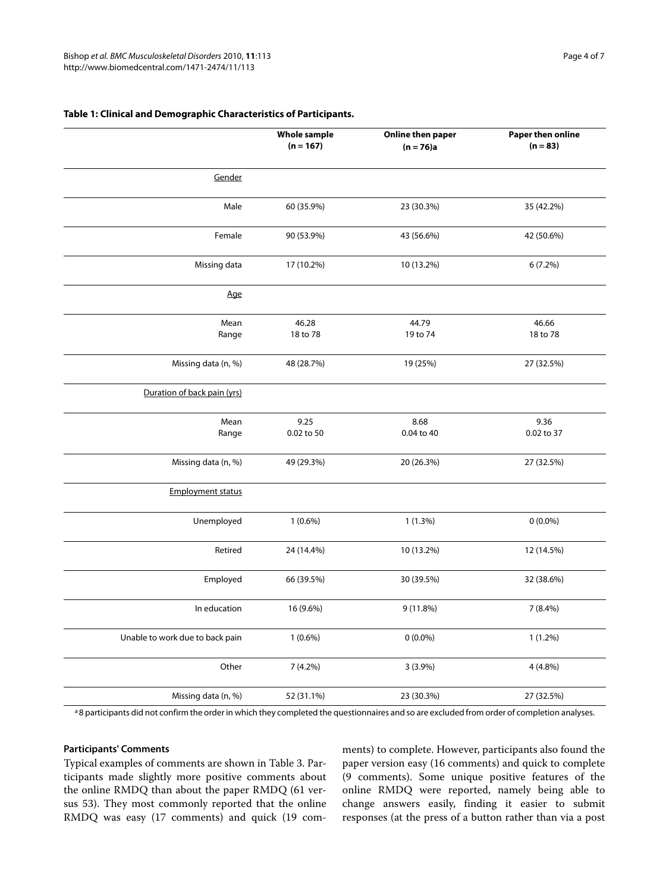|                                 | <b>Whole sample</b><br>$(n = 167)$ | <b>Online then paper</b><br>$(n = 76)a$ | Paper then online<br>$(n = 83)$ |
|---------------------------------|------------------------------------|-----------------------------------------|---------------------------------|
| Gender                          |                                    |                                         |                                 |
| Male                            | 60 (35.9%)                         | 23 (30.3%)                              | 35 (42.2%)                      |
| Female                          | 90 (53.9%)                         | 43 (56.6%)                              | 42 (50.6%)                      |
| Missing data                    | 17 (10.2%)                         | 10 (13.2%)                              | $6(7.2\%)$                      |
| <u>Age</u>                      |                                    |                                         |                                 |
| Mean<br>Range                   | 46.28<br>18 to 78                  | 44.79<br>19 to 74                       | 46.66<br>18 to 78               |
| Missing data (n, %)             | 48 (28.7%)                         | 19 (25%)                                | 27 (32.5%)                      |
| Duration of back pain (yrs)     |                                    |                                         |                                 |
| Mean<br>Range                   | 9.25<br>0.02 to 50                 | 8.68<br>0.04 to 40                      | 9.36<br>0.02 to 37              |
| Missing data (n, %)             | 49 (29.3%)                         | 20 (26.3%)                              | 27 (32.5%)                      |
| <b>Employment status</b>        |                                    |                                         |                                 |
| Unemployed                      | $1(0.6\%)$                         | 1(1.3%)                                 | $0(0.0\%)$                      |
| Retired                         | 24 (14.4%)                         | 10 (13.2%)                              | 12 (14.5%)                      |
| Employed                        | 66 (39.5%)                         | 30 (39.5%)                              | 32 (38.6%)                      |
| In education                    | 16 (9.6%)                          | 9(11.8%)                                | $7(8.4\%)$                      |
| Unable to work due to back pain | $1(0.6\%)$                         | $0(0.0\%)$                              | $1(1.2\%)$                      |
| Other                           | $7(4.2\%)$                         | $3(3.9\%)$                              | 4 (4.8%)                        |
| Missing data (n, %)             | 52 (31.1%)                         | 23 (30.3%)                              | 27 (32.5%)                      |

# <span id="page-3-0"></span>**Table 1: Clinical and Demographic Characteristics of Participants.**

a 8 participants did not confirm the order in which they completed the questionnaires and so are excluded from order of completion analyses.

#### **Participants' Comments**

Typical examples of comments are shown in Table 3. Participants made slightly more positive comments about the online RMDQ than about the paper RMDQ (61 versus 53). They most commonly reported that the online RMDQ was easy (17 comments) and quick (19 comments) to complete. However, participants also found the paper version easy (16 comments) and quick to complete (9 comments). Some unique positive features of the online RMDQ were reported, namely being able to change answers easily, finding it easier to submit responses (at the press of a button rather than via a post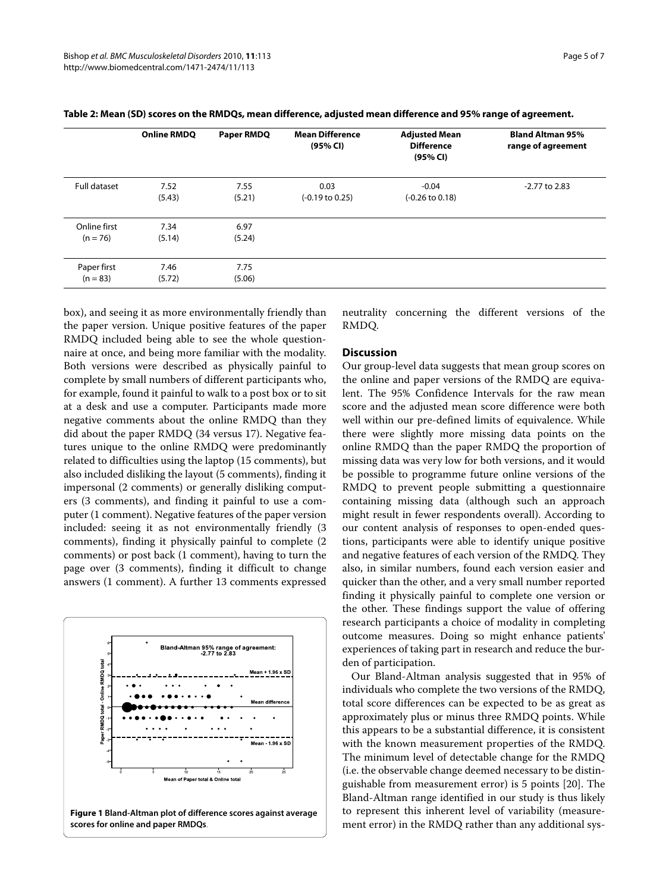|                            | <b>Online RMDQ</b> | Paper RMDQ     | <b>Mean Difference</b><br>(95% CI) | <b>Adjusted Mean</b><br><b>Difference</b><br>(95% CI) | <b>Bland Altman 95%</b><br>range of agreement |
|----------------------------|--------------------|----------------|------------------------------------|-------------------------------------------------------|-----------------------------------------------|
| <b>Full dataset</b>        | 7.52<br>(5.43)     | 7.55<br>(5.21) | 0.03<br>$(-0.19 \text{ to } 0.25)$ | $-0.04$<br>$(-0.26 \text{ to } 0.18)$                 | -2.77 to 2.83                                 |
| Online first<br>$(n = 76)$ | 7.34<br>(5.14)     | 6.97<br>(5.24) |                                    |                                                       |                                               |
| Paper first<br>$(n = 83)$  | 7.46<br>(5.72)     | 7.75<br>(5.06) |                                    |                                                       |                                               |

#### **Table 2: Mean (SD) scores on the RMDQs, mean difference, adjusted mean difference and 95% range of agreement.**

box), and seeing it as more environmentally friendly than the paper version. Unique positive features of the paper RMDQ included being able to see the whole questionnaire at once, and being more familiar with the modality. Both versions were described as physically painful to complete by small numbers of different participants who, for example, found it painful to walk to a post box or to sit at a desk and use a computer. Participants made more negative comments about the online RMDQ than they did about the paper RMDQ (34 versus 17). Negative features unique to the online RMDQ were predominantly related to difficulties using the laptop (15 comments), but also included disliking the layout (5 comments), finding it impersonal (2 comments) or generally disliking computers (3 comments), and finding it painful to use a computer (1 comment). Negative features of the paper version included: seeing it as not environmentally friendly (3 comments), finding it physically painful to complete (2 comments) or post back (1 comment), having to turn the page over (3 comments), finding it difficult to change answers (1 comment). A further 13 comments expressed

<span id="page-4-0"></span>

neutrality concerning the different versions of the RMDQ.

## **Discussion**

Our group-level data suggests that mean group scores on the online and paper versions of the RMDQ are equivalent. The 95% Confidence Intervals for the raw mean score and the adjusted mean score difference were both well within our pre-defined limits of equivalence. While there were slightly more missing data points on the online RMDQ than the paper RMDQ the proportion of missing data was very low for both versions, and it would be possible to programme future online versions of the RMDQ to prevent people submitting a questionnaire containing missing data (although such an approach might result in fewer respondents overall). According to our content analysis of responses to open-ended questions, participants were able to identify unique positive and negative features of each version of the RMDQ. They also, in similar numbers, found each version easier and quicker than the other, and a very small number reported finding it physically painful to complete one version or the other. These findings support the value of offering research participants a choice of modality in completing outcome measures. Doing so might enhance patients' experiences of taking part in research and reduce the burden of participation.

Our Bland-Altman analysis suggested that in 95% of individuals who complete the two versions of the RMDQ, total score differences can be expected to be as great as approximately plus or minus three RMDQ points. While this appears to be a substantial difference, it is consistent with the known measurement properties of the RMDQ. The minimum level of detectable change for the RMDQ (i.e. the observable change deemed necessary to be distinguishable from measurement error) is 5 points [\[20\]](#page-6-13). The Bland-Altman range identified in our study is thus likely to represent this inherent level of variability (measurement error) in the RMDQ rather than any additional sys-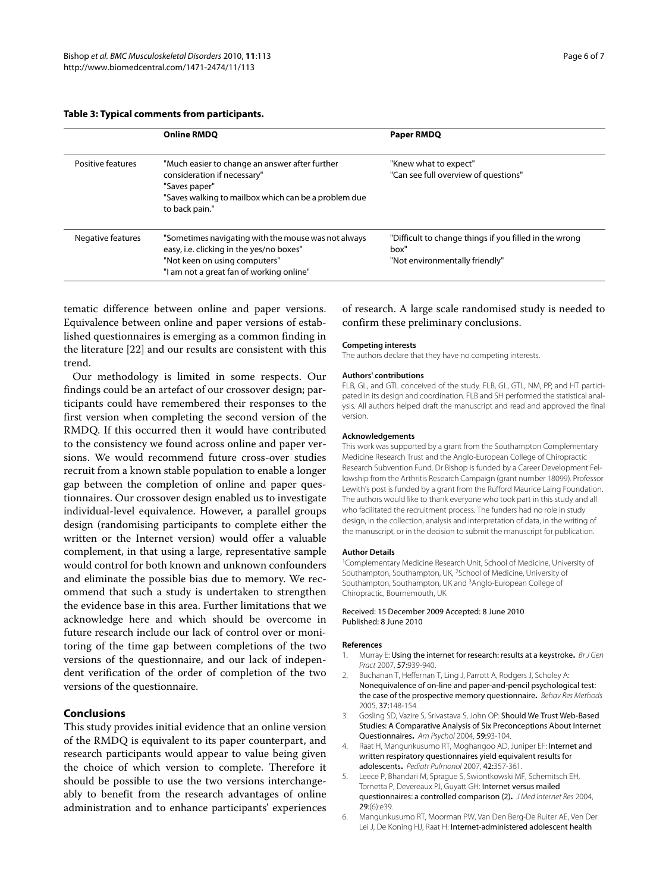|                   | <b>Online RMDQ</b>                                                                                                                                                           | <b>Paper RMDQ</b>                                                                                |  |
|-------------------|------------------------------------------------------------------------------------------------------------------------------------------------------------------------------|--------------------------------------------------------------------------------------------------|--|
| Positive features | "Much easier to change an answer after further<br>consideration if necessary"<br>"Saves paper"<br>"Saves walking to mailbox which can be a problem due<br>to back pain."     | "Knew what to expect"<br>"Can see full overview of questions"                                    |  |
| Negative features | "Sometimes navigating with the mouse was not always<br>easy, i.e. clicking in the yes/no boxes"<br>"Not keen on using computers"<br>"I am not a great fan of working online" | "Difficult to change things if you filled in the wrong<br>box"<br>"Not environmentally friendly" |  |

## **Table 3: Typical comments from participants.**

tematic difference between online and paper versions. Equivalence between online and paper versions of established questionnaires is emerging as a common finding in the literature [[22](#page-6-15)] and our results are consistent with this trend.

Our methodology is limited in some respects. Our findings could be an artefact of our crossover design; participants could have remembered their responses to the first version when completing the second version of the RMDQ. If this occurred then it would have contributed to the consistency we found across online and paper versions. We would recommend future cross-over studies recruit from a known stable population to enable a longer gap between the completion of online and paper questionnaires. Our crossover design enabled us to investigate individual-level equivalence. However, a parallel groups design (randomising participants to complete either the written or the Internet version) would offer a valuable complement, in that using a large, representative sample would control for both known and unknown confounders and eliminate the possible bias due to memory. We recommend that such a study is undertaken to strengthen the evidence base in this area. Further limitations that we acknowledge here and which should be overcome in future research include our lack of control over or monitoring of the time gap between completions of the two versions of the questionnaire, and our lack of independent verification of the order of completion of the two versions of the questionnaire.

## **Conclusions**

This study provides initial evidence that an online version of the RMDQ is equivalent to its paper counterpart, and research participants would appear to value being given the choice of which version to complete. Therefore it should be possible to use the two versions interchangeably to benefit from the research advantages of online administration and to enhance participants' experiences

of research. A large scale randomised study is needed to confirm these preliminary conclusions.

#### **Competing interests**

The authors declare that they have no competing interests.

#### **Authors' contributions**

FLB, GL, and GTL conceived of the study. FLB, GL, GTL, NM, PP, and HT participated in its design and coordination. FLB and SH performed the statistical analysis. All authors helped draft the manuscript and read and approved the final version.

#### **Acknowledgements**

This work was supported by a grant from the Southampton Complementary Medicine Research Trust and the Anglo-European College of Chiropractic Research Subvention Fund. Dr Bishop is funded by a Career Development Fellowship from the Arthritis Research Campaign (grant number 18099). Professor Lewith's post is funded by a grant from the Rufford Maurice Laing Foundation. The authors would like to thank everyone who took part in this study and all who facilitated the recruitment process. The funders had no role in study design, in the collection, analysis and interpretation of data, in the writing of the manuscript, or in the decision to submit the manuscript for publication.

#### **Author Details**

1Complementary Medicine Research Unit, School of Medicine, University of Southampton, Southampton, UK, 2School of Medicine, University of Southampton, Southampton, UK and 3Anglo-European College of Chiropractic, Bournemouth, UK

#### Received: 15 December 2009 Accepted: 8 June 2010 Published: 8 June 2010

#### **References**

- <span id="page-5-0"></span>1. Murray E: Using the internet for research: results at a keystroke**.** Br J Gen Pract 2007, 57:939-940.
- <span id="page-5-1"></span>2. Buchanan T, Heffernan T, Ling J, Parrott A, Rodgers J, Scholey A: Nonequivalence of on-line and paper-and-pencil psychological test: the case of the prospective memory questionnaire**[.](http://www.ncbi.nlm.nih.gov/entrez/query.fcgi?cmd=Retrieve&db=PubMed&dopt=Abstract&list_uids=16097355)** Behav Res Methods 2005, 37:148-154.
- <span id="page-5-2"></span>3. Gosling SD, Vazire S, Srivastava S, John OP: Should We Trust Web-Based Studies: A Comparative Analysis of Six Preconceptions About Internet Questionnaires**.** Am Psychol 2004, 59:93-104.
- <span id="page-5-3"></span>4. Raat H, Mangunkusumo RT, Moghangoo AD, Juniper EF: Internet and written respiratory questionnaires yield equivalent results for adolescents**.** Pediatr Pulmonol 2007, 42:357-361.
- 5. Leece P, Bhandari M, Sprague S, Swiontkowski MF, Schemitsch EH, Tornetta P, Devereaux PJ, Guyatt GH: Internet versus mailed questionnaires: a controlled comparison (2)**.** J Med Internet Res 2004, 29:(6):e39.
- <span id="page-5-4"></span>6. Mangunkusumo RT, Moorman PW, Van Den Berg-De Ruiter AE, Ven Der Lei J, De Koning HJ, Raat H: Internet-administered adolescent health